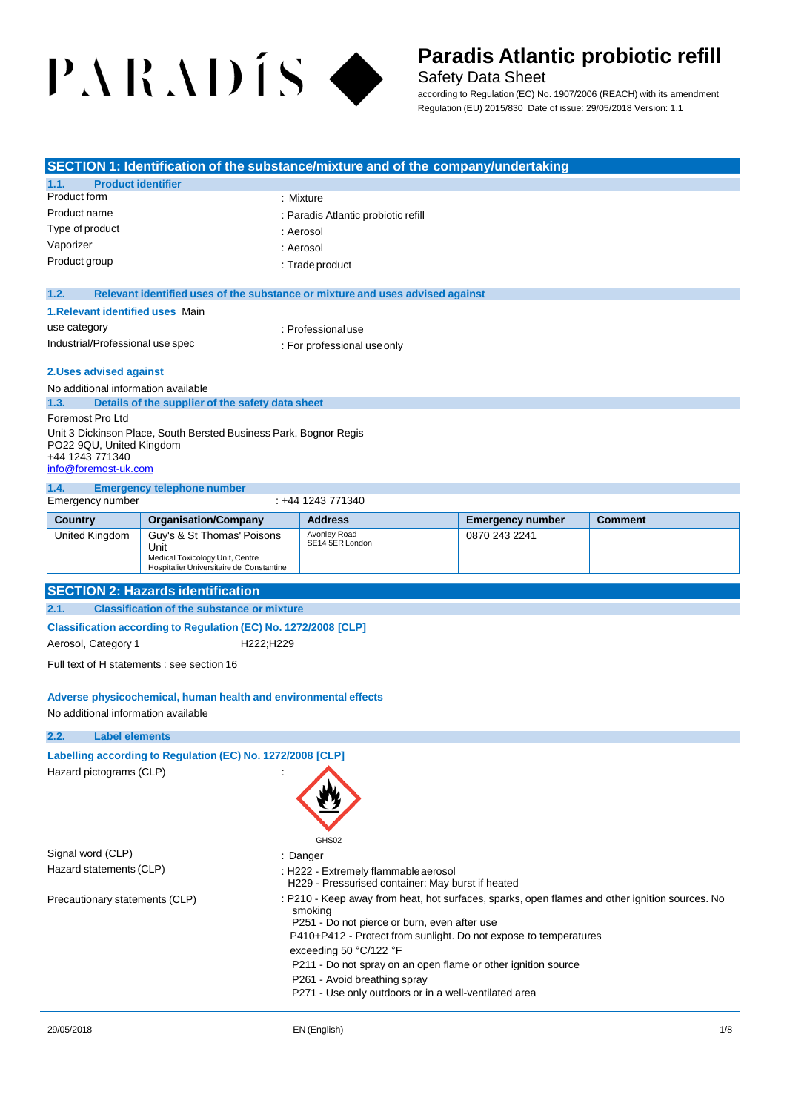

Safety Data Sheet

according to Regulation (EC) No. 1907/2006 (REACH) with its amendment Regulation (EU) 2015/830 Date of issue: 29/05/2018 Version: 1.1

|                                                                                                                                                                                                                                                                                                                                                                                                                                                     |                                                                                                                   | SECTION 1: Identification of the substance/mixture and of the company/undertaking         |                         |                |  |
|-----------------------------------------------------------------------------------------------------------------------------------------------------------------------------------------------------------------------------------------------------------------------------------------------------------------------------------------------------------------------------------------------------------------------------------------------------|-------------------------------------------------------------------------------------------------------------------|-------------------------------------------------------------------------------------------|-------------------------|----------------|--|
| 1.1.<br><b>Product identifier</b>                                                                                                                                                                                                                                                                                                                                                                                                                   |                                                                                                                   |                                                                                           |                         |                |  |
| Product form                                                                                                                                                                                                                                                                                                                                                                                                                                        |                                                                                                                   | : Mixture                                                                                 |                         |                |  |
| Product name                                                                                                                                                                                                                                                                                                                                                                                                                                        |                                                                                                                   | : Paradis Atlantic probiotic refill                                                       |                         |                |  |
| Type of product                                                                                                                                                                                                                                                                                                                                                                                                                                     |                                                                                                                   | : Aerosol                                                                                 |                         |                |  |
| Vaporizer                                                                                                                                                                                                                                                                                                                                                                                                                                           |                                                                                                                   | : Aerosol                                                                                 |                         |                |  |
| Product group                                                                                                                                                                                                                                                                                                                                                                                                                                       |                                                                                                                   | : Trade product                                                                           |                         |                |  |
| 1.2.                                                                                                                                                                                                                                                                                                                                                                                                                                                |                                                                                                                   | Relevant identified uses of the substance or mixture and uses advised against             |                         |                |  |
| 1. Relevant identified uses Main                                                                                                                                                                                                                                                                                                                                                                                                                    |                                                                                                                   |                                                                                           |                         |                |  |
| use category                                                                                                                                                                                                                                                                                                                                                                                                                                        |                                                                                                                   | : Professionaluse                                                                         |                         |                |  |
| Industrial/Professional use spec                                                                                                                                                                                                                                                                                                                                                                                                                    |                                                                                                                   | : For professional use only                                                               |                         |                |  |
| 2. Uses advised against                                                                                                                                                                                                                                                                                                                                                                                                                             |                                                                                                                   |                                                                                           |                         |                |  |
| No additional information available                                                                                                                                                                                                                                                                                                                                                                                                                 |                                                                                                                   |                                                                                           |                         |                |  |
| 1.3.                                                                                                                                                                                                                                                                                                                                                                                                                                                | Details of the supplier of the safety data sheet                                                                  |                                                                                           |                         |                |  |
| Foremost Pro Ltd                                                                                                                                                                                                                                                                                                                                                                                                                                    |                                                                                                                   |                                                                                           |                         |                |  |
| PO22 9QU, United Kingdom<br>+44 1243 771340<br>info@foremost-uk.com                                                                                                                                                                                                                                                                                                                                                                                 | Unit 3 Dickinson Place, South Bersted Business Park, Bognor Regis                                                 |                                                                                           |                         |                |  |
| 1.4.                                                                                                                                                                                                                                                                                                                                                                                                                                                | <b>Emergency telephone number</b>                                                                                 |                                                                                           |                         |                |  |
| Emergency number                                                                                                                                                                                                                                                                                                                                                                                                                                    |                                                                                                                   | : +44 1243 771340                                                                         |                         |                |  |
| <b>Country</b>                                                                                                                                                                                                                                                                                                                                                                                                                                      | <b>Organisation/Company</b>                                                                                       | <b>Address</b>                                                                            | <b>Emergency number</b> | <b>Comment</b> |  |
| United Kingdom                                                                                                                                                                                                                                                                                                                                                                                                                                      | Guy's & St Thomas' Poisons<br>Unit<br>Medical Toxicology Unit, Centre<br>Hospitalier Universitaire de Constantine | Avonley Road<br>SE14 5ER London                                                           | 0870 243 2241           |                |  |
|                                                                                                                                                                                                                                                                                                                                                                                                                                                     | <b>SECTION 2: Hazards identification</b>                                                                          |                                                                                           |                         |                |  |
| 2.1.                                                                                                                                                                                                                                                                                                                                                                                                                                                | <b>Classification of the substance or mixture</b>                                                                 |                                                                                           |                         |                |  |
|                                                                                                                                                                                                                                                                                                                                                                                                                                                     | Classification according to Regulation (EC) No. 1272/2008 [CLP]                                                   |                                                                                           |                         |                |  |
| Aerosol, Category 1                                                                                                                                                                                                                                                                                                                                                                                                                                 | H222;H229                                                                                                         |                                                                                           |                         |                |  |
|                                                                                                                                                                                                                                                                                                                                                                                                                                                     | Full text of H statements : see section 16                                                                        |                                                                                           |                         |                |  |
| No additional information available                                                                                                                                                                                                                                                                                                                                                                                                                 | Adverse physicochemical, human health and environmental effects                                                   |                                                                                           |                         |                |  |
| 2.2.<br><b>Label elements</b>                                                                                                                                                                                                                                                                                                                                                                                                                       |                                                                                                                   |                                                                                           |                         |                |  |
|                                                                                                                                                                                                                                                                                                                                                                                                                                                     | Labelling according to Regulation (EC) No. 1272/2008 [CLP]                                                        |                                                                                           |                         |                |  |
| Hazard pictograms (CLP)                                                                                                                                                                                                                                                                                                                                                                                                                             |                                                                                                                   | GHS02                                                                                     |                         |                |  |
| Signal word (CLP)                                                                                                                                                                                                                                                                                                                                                                                                                                   |                                                                                                                   | : Danger                                                                                  |                         |                |  |
| Hazard statements (CLP)                                                                                                                                                                                                                                                                                                                                                                                                                             |                                                                                                                   | : H222 - Extremely flammable aerosol<br>H229 - Pressurised container: May burst if heated |                         |                |  |
| : P210 - Keep away from heat, hot surfaces, sparks, open flames and other ignition sources. No<br>Precautionary statements (CLP)<br>smoking<br>P251 - Do not pierce or burn, even after use<br>P410+P412 - Protect from sunlight. Do not expose to temperatures<br>exceeding 50 °C/122 °F<br>P211 - Do not spray on an open flame or other ignition source<br>P261 - Avoid breathing spray<br>P271 - Use only outdoors or in a well-ventilated area |                                                                                                                   |                                                                                           |                         |                |  |
| 29/05/2018                                                                                                                                                                                                                                                                                                                                                                                                                                          |                                                                                                                   | EN (English)                                                                              |                         | 1/8            |  |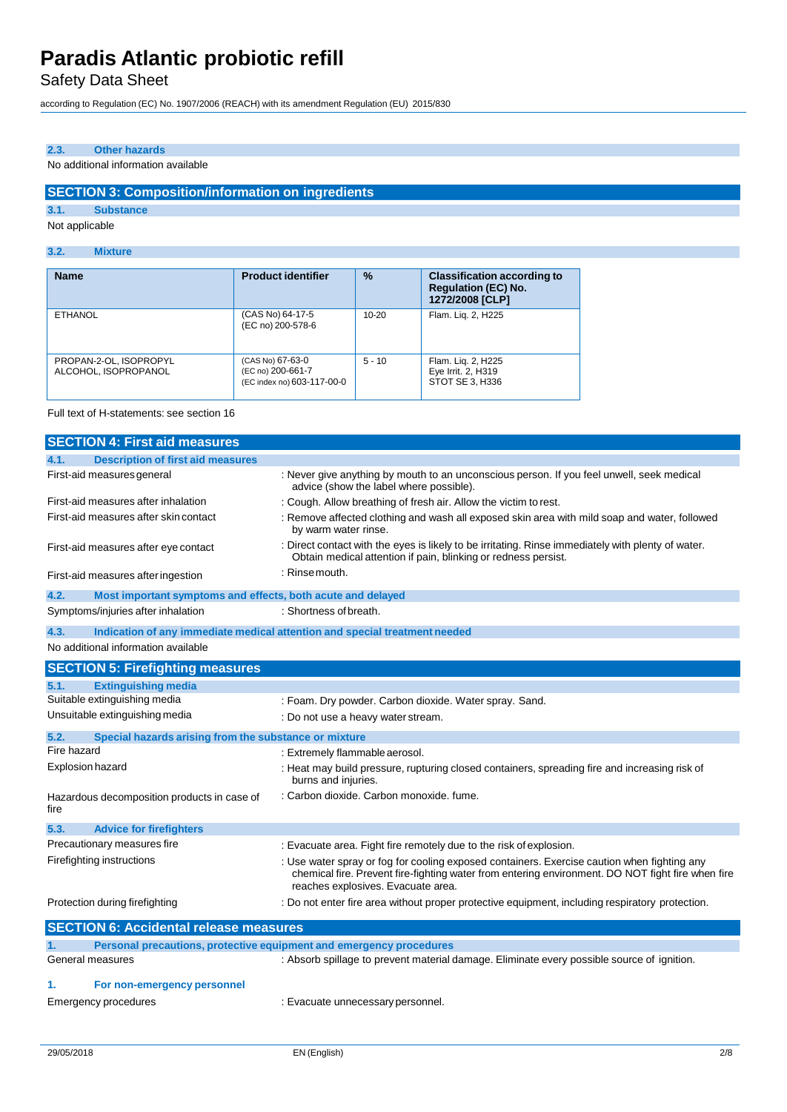Safety Data Sheet

according to Regulation (EC) No. 1907/2006 (REACH) with its amendment Regulation (EU) 2015/830

#### **2.3. Other hazards**

#### No additional information available

### **SECTION 3: Composition/information on ingredients**

**3.1. Substance**

Not applicable

#### **3.2. Mixture**

| <b>Name</b>                                    | <b>Product identifier</b>                                           | $\frac{9}{6}$ | <b>Classification according to</b><br><b>Regulation (EC) No.</b><br>1272/2008 [CLP] |
|------------------------------------------------|---------------------------------------------------------------------|---------------|-------------------------------------------------------------------------------------|
| <b>ETHANOL</b>                                 | (CAS No) 64-17-5<br>(EC no) 200-578-6                               | $10 - 20$     | Flam. Lig. 2, H225                                                                  |
| PROPAN-2-OL, ISOPROPYL<br>ALCOHOL. ISOPROPANOL | (CAS No) 67-63-0<br>(EC no) 200-661-7<br>(EC index no) 603-117-00-0 | $5 - 10$      | Flam. Liq. 2, H225<br>Eye Irrit. 2, H319<br>STOT SE 3, H336                         |

Full text of H-statements: see section 16

| <b>SECTION 4: First aid measures</b>                                      |                                                                                                                                                                                                                                        |
|---------------------------------------------------------------------------|----------------------------------------------------------------------------------------------------------------------------------------------------------------------------------------------------------------------------------------|
| <b>Description of first aid measures</b><br>4.1.                          |                                                                                                                                                                                                                                        |
| First-aid measures general                                                | : Never give anything by mouth to an unconscious person. If you feel unwell, seek medical<br>advice (show the label where possible).                                                                                                   |
| First-aid measures after inhalation                                       | : Cough. Allow breathing of fresh air. Allow the victim to rest.                                                                                                                                                                       |
| First-aid measures after skin contact                                     | : Remove affected clothing and wash all exposed skin area with mild soap and water, followed<br>by warm water rinse.                                                                                                                   |
| First-aid measures after eye contact                                      | : Direct contact with the eyes is likely to be irritating. Rinse immediately with plenty of water.<br>Obtain medical attention if pain, blinking or redness persist.                                                                   |
| First-aid measures after ingestion                                        | : Rinse mouth.                                                                                                                                                                                                                         |
| 4.2.<br>Most important symptoms and effects, both acute and delayed       |                                                                                                                                                                                                                                        |
| Symptoms/injuries after inhalation                                        | : Shortness of breath.                                                                                                                                                                                                                 |
| 4.3.                                                                      | Indication of any immediate medical attention and special treatment needed                                                                                                                                                             |
| No additional information available                                       |                                                                                                                                                                                                                                        |
| <b>SECTION 5: Firefighting measures</b>                                   |                                                                                                                                                                                                                                        |
| <b>Extinguishing media</b><br>5.1.                                        |                                                                                                                                                                                                                                        |
| Suitable extinguishing media                                              | : Foam. Dry powder. Carbon dioxide. Water spray. Sand.                                                                                                                                                                                 |
| Unsuitable extinguishing media                                            | : Do not use a heavy water stream.                                                                                                                                                                                                     |
| 5.2.<br>Special hazards arising from the substance or mixture             |                                                                                                                                                                                                                                        |
| Fire hazard                                                               | : Extremely flammable aerosol.                                                                                                                                                                                                         |
| Explosion hazard                                                          | : Heat may build pressure, rupturing closed containers, spreading fire and increasing risk of<br>burns and injuries.                                                                                                                   |
| Hazardous decomposition products in case of<br>fire                       | : Carbon dioxide. Carbon monoxide. fume.                                                                                                                                                                                               |
| 5.3.<br><b>Advice for firefighters</b>                                    |                                                                                                                                                                                                                                        |
| Precautionary measures fire                                               | : Evacuate area. Fight fire remotely due to the risk of explosion.                                                                                                                                                                     |
| Firefighting instructions                                                 | : Use water spray or fog for cooling exposed containers. Exercise caution when fighting any<br>chemical fire. Prevent fire-fighting water from entering environment. DO NOT fight fire when fire<br>reaches explosives. Evacuate area. |
| Protection during firefighting                                            | : Do not enter fire area without proper protective equipment, including respiratory protection.                                                                                                                                        |
| <b>SECTION 6: Accidental release measures</b>                             |                                                                                                                                                                                                                                        |
| Personal precautions, protective equipment and emergency procedures<br>1. |                                                                                                                                                                                                                                        |
| General measures                                                          | : Absorb spillage to prevent material damage. Eliminate every possible source of ignition.                                                                                                                                             |
|                                                                           |                                                                                                                                                                                                                                        |
| 1.<br>For non-emergency personnel                                         |                                                                                                                                                                                                                                        |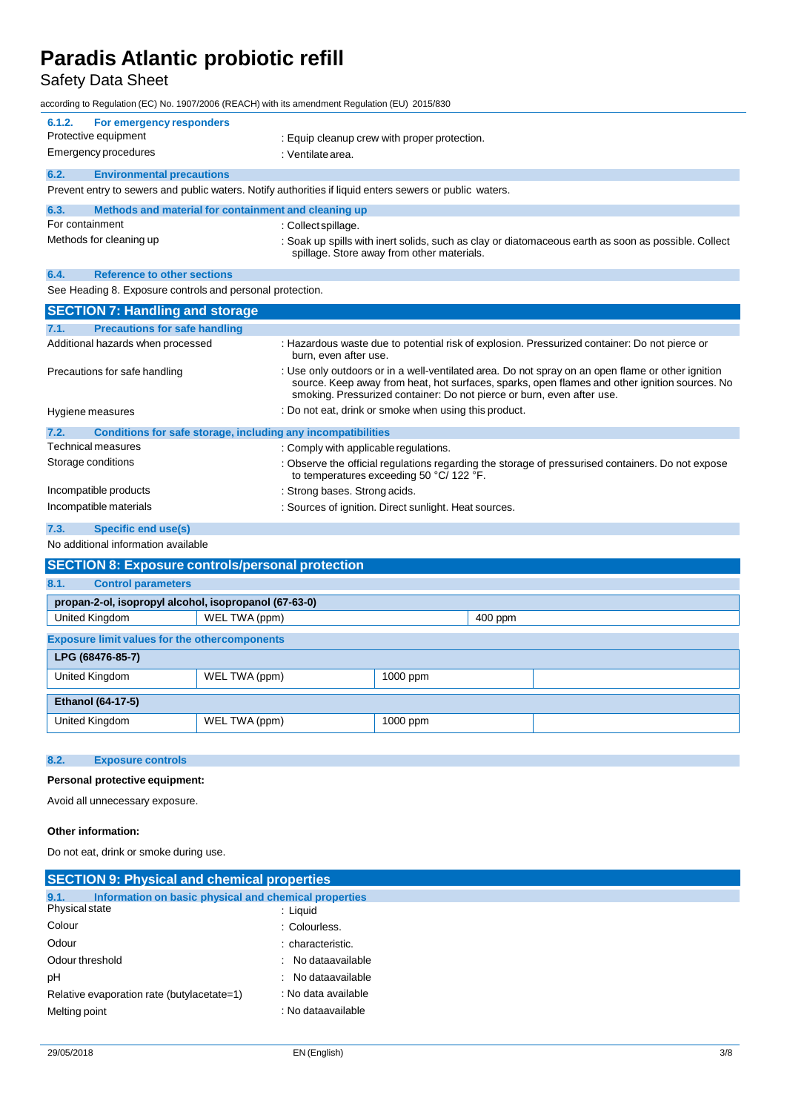Safety Data Sheet

according to Regulation (EC) No. 1907/2006 (REACH) with its amendment Regulation (EU) 2015/830

| 6.1.2.          | For emergency responders                             |                                                                                                                                                   |
|-----------------|------------------------------------------------------|---------------------------------------------------------------------------------------------------------------------------------------------------|
|                 | Protective equipment                                 | : Equip cleanup crew with proper protection.                                                                                                      |
|                 | Emergency procedures                                 | : Ventilate area.                                                                                                                                 |
| 6.2.            | <b>Environmental precautions</b>                     |                                                                                                                                                   |
|                 |                                                      | Prevent entry to sewers and public waters. Notify authorities if liquid enters sewers or public waters.                                           |
| 6.3.            | Methods and material for containment and cleaning up |                                                                                                                                                   |
| For containment |                                                      | : Collect spillage.                                                                                                                               |
|                 | Methods for cleaning up                              | : Soak up spills with inert solids, such as clay or diatomaceous earth as soon as possible. Collect<br>spillage. Store away from other materials. |
| 6.4.            | <b>Reference to other sections</b>                   |                                                                                                                                                   |

See Heading 8. Exposure controls and personal protection.

| <b>SECTION 7: Handling and storage</b>                               |                                                                                                                                                                                                                                                                              |
|----------------------------------------------------------------------|------------------------------------------------------------------------------------------------------------------------------------------------------------------------------------------------------------------------------------------------------------------------------|
| <b>Precautions for safe handling</b><br>7.1.                         |                                                                                                                                                                                                                                                                              |
| Additional hazards when processed                                    | : Hazardous waste due to potential risk of explosion. Pressurized container: Do not pierce or<br>burn, even after use.                                                                                                                                                       |
| Precautions for safe handling                                        | : Use only outdoors or in a well-ventilated area. Do not spray on an open flame or other ignition<br>source. Keep away from heat, hot surfaces, sparks, open flames and other ignition sources. No<br>smoking. Pressurized container: Do not pierce or burn, even after use. |
| Hygiene measures                                                     | : Do not eat, drink or smoke when using this product.                                                                                                                                                                                                                        |
| Conditions for safe storage, including any incompatibilities<br>7.2. |                                                                                                                                                                                                                                                                              |
| Technical measures                                                   | : Comply with applicable regulations.                                                                                                                                                                                                                                        |
| Storage conditions                                                   | : Observe the official regulations regarding the storage of pressurised containers. Do not expose<br>to temperatures exceeding 50 °C/ 122 °F.                                                                                                                                |
| Incompatible products                                                | : Strong bases. Strong acids.                                                                                                                                                                                                                                                |
| Incompatible materials                                               | : Sources of ignition. Direct sunlight. Heat sources.                                                                                                                                                                                                                        |

#### **7.3. Specific end use(s)**

No additional information available

|                                                       | <b>SECTION 8: Exposure controls/personal protection</b> |          |         |  |
|-------------------------------------------------------|---------------------------------------------------------|----------|---------|--|
| 8.1.<br><b>Control parameters</b>                     |                                                         |          |         |  |
| propan-2-ol, isopropyl alcohol, isopropanol (67-63-0) |                                                         |          |         |  |
| United Kingdom                                        | WEL TWA (ppm)                                           |          | 400 ppm |  |
|                                                       | <b>Exposure limit values for the other components</b>   |          |         |  |
| LPG (68476-85-7)                                      |                                                         |          |         |  |
| United Kingdom                                        | WEL TWA (ppm)                                           | 1000 ppm |         |  |
| Ethanol (64-17-5)                                     |                                                         |          |         |  |
| United Kingdom                                        | WEL TWA (ppm)                                           | 1000 ppm |         |  |
|                                                       |                                                         |          |         |  |

#### **8.2. Exposure controls**

### **Personal protective equipment:**

Avoid all unnecessary exposure.

#### **Other information:**

Do not eat, drink or smoke during use.

| <b>SECTION 9: Physical and chemical properties</b>            |                     |  |
|---------------------------------------------------------------|---------------------|--|
| 9.1.<br>Information on basic physical and chemical properties |                     |  |
| Physical state                                                | : Liquid            |  |
| Colour                                                        | : Colourless.       |  |
| Odour                                                         | : characteristic.   |  |
| Odour threshold                                               | No dataavailable    |  |
| pH                                                            | No dataavailable    |  |
| Relative evaporation rate (butylacetate=1)                    | : No data available |  |
| Melting point                                                 | : No dataavailable  |  |
|                                                               |                     |  |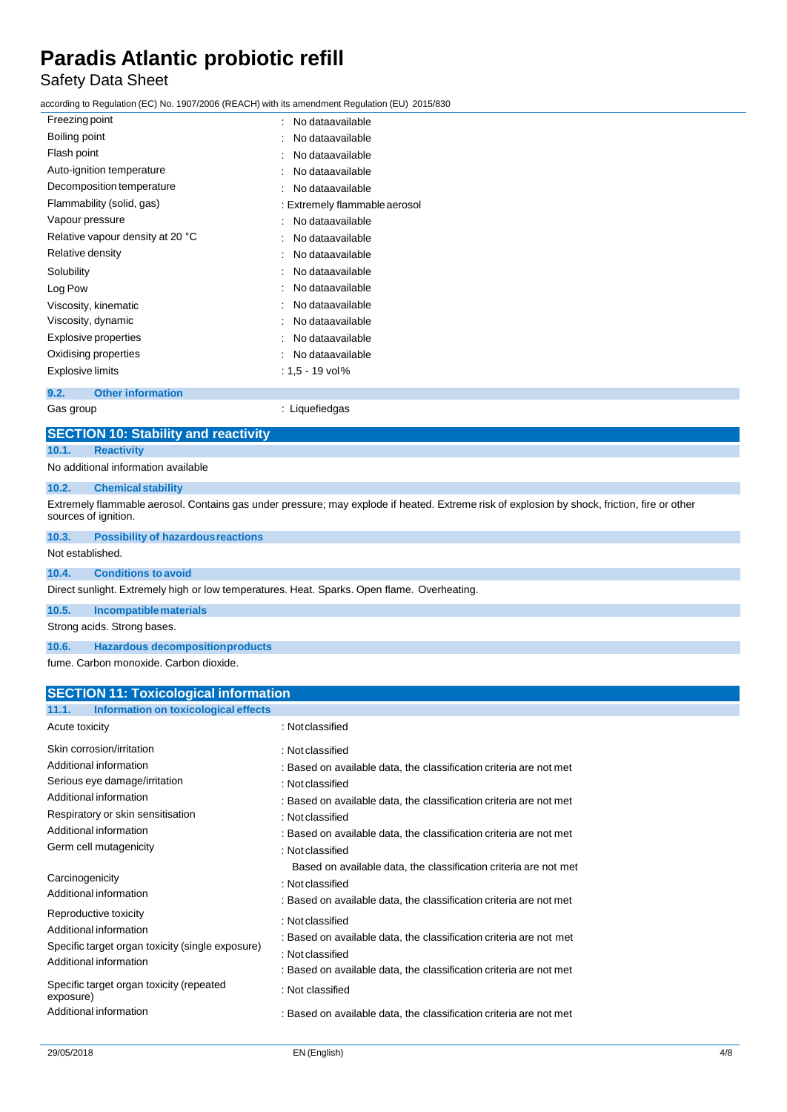## Safety Data Sheet

according to Regulation (EC) No. 1907/2006 (REACH) with its amendment Regulation (EU) 2015/830

| Freezing point                       | No dataavailable              |
|--------------------------------------|-------------------------------|
| Boiling point                        | No dataavailable              |
| Flash point                          | No dataavailable              |
| Auto-ignition temperature            | No dataavailable              |
| Decomposition temperature            | No dataavailable              |
| Flammability (solid, gas)            | : Extremely flammable aerosol |
| Vapour pressure                      | No dataavailable              |
| Relative vapour density at 20 °C     | No dataavailable              |
| Relative density                     | No dataavailable              |
| Solubility                           | No dataavailable              |
| Log Pow                              | No dataavailable              |
| Viscosity, kinematic                 | No dataavailable              |
| Viscosity, dynamic                   | No dataavailable              |
| Explosive properties                 | No dataavailable              |
| Oxidising properties                 | No dataavailable              |
| Explosive limits                     | $: 1.5 - 19$ vol %            |
| Other Latenas atten<br>$\sim$ $\sim$ |                               |

**9.2. Other information**

Gas group and the contract of the contract of the contract of the contract of the contract of the contract of the contract of the contract of the contract of the contract of the contract of the contract of the contract of

## **SECTION 10: Stability and reactivity**

**10.1. Reactivity**

No additional information available

#### **10.2. Chemical stability**

Extremely flammable aerosol. Contains gas under pressure; may explode if heated. Extreme risk of explosion by shock, friction, fire or other sources of ignition.

#### **10.3. Possibility of hazardousreactions**

Not established.

#### **10.4. Conditions to avoid**

Direct sunlight. Extremely high or low temperatures. Heat. Sparks. Open flame. Overheating.

#### **10.5. Incompatiblematerials**

Strong acids. Strong bases.

### **10.6. Hazardous decompositionproducts**

fume. Carbon monoxide. Carbon dioxide.

| <b>SECTION 11: Toxicological information</b>                                                                                                               |
|------------------------------------------------------------------------------------------------------------------------------------------------------------|
|                                                                                                                                                            |
| : Notclassified                                                                                                                                            |
| : Not classified                                                                                                                                           |
| : Based on available data, the classification criteria are not met                                                                                         |
| : Not classified                                                                                                                                           |
| : Based on available data, the classification criteria are not met                                                                                         |
| : Not classified                                                                                                                                           |
| : Based on available data, the classification criteria are not met                                                                                         |
| : Not classified                                                                                                                                           |
| Based on available data, the classification criteria are not met<br>: Not classified<br>: Based on available data, the classification criteria are not met |
| : Not classified                                                                                                                                           |
|                                                                                                                                                            |
| : Based on available data, the classification criteria are not met<br>: Not classified                                                                     |
| : Based on available data, the classification criteria are not met                                                                                         |
| : Not classified                                                                                                                                           |
| : Based on available data, the classification criteria are not met                                                                                         |
|                                                                                                                                                            |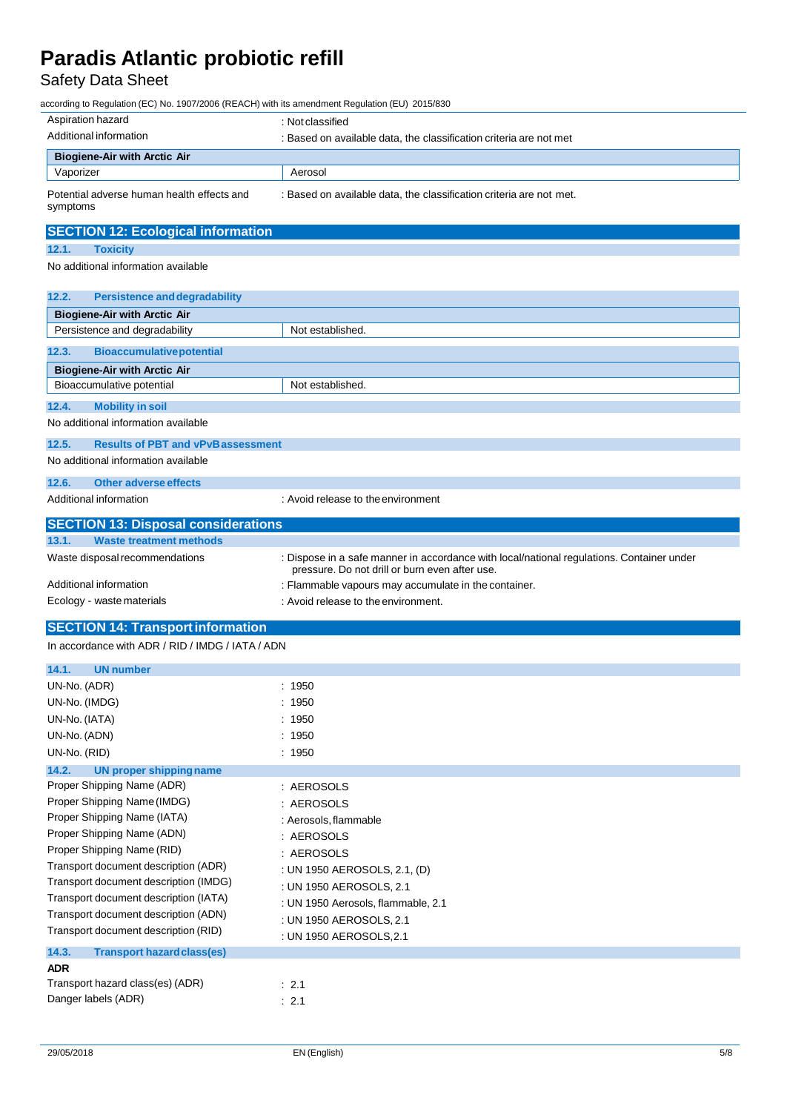## Safety Data Sheet

according to Regulation (EC) No. 1907/2006 (REACH) with its amendment Requilation (FU) 2015/830

| Aspiration hazard                                      | : Not classified                                                                                                                            |
|--------------------------------------------------------|---------------------------------------------------------------------------------------------------------------------------------------------|
| Additional information                                 | : Based on available data, the classification criteria are not met                                                                          |
| <b>Biogiene-Air with Arctic Air</b>                    |                                                                                                                                             |
| Vaporizer                                              | Aerosol                                                                                                                                     |
| Potential adverse human health effects and<br>symptoms | : Based on available data, the classification criteria are not met.                                                                         |
| <b>SECTION 12: Ecological information</b>              |                                                                                                                                             |
| 12.1.<br><b>Toxicity</b>                               |                                                                                                                                             |
| No additional information available                    |                                                                                                                                             |
| 12.2.<br><b>Persistence and degradability</b>          |                                                                                                                                             |
| <b>Biogiene-Air with Arctic Air</b>                    |                                                                                                                                             |
| Persistence and degradability                          | Not established.                                                                                                                            |
| 12.3.<br><b>Bioaccumulative potential</b>              |                                                                                                                                             |
| <b>Biogiene-Air with Arctic Air</b>                    |                                                                                                                                             |
| Bioaccumulative potential                              | Not established.                                                                                                                            |
| 12.4.<br><b>Mobility in soil</b>                       |                                                                                                                                             |
| No additional information available                    |                                                                                                                                             |
| 12.5.<br><b>Results of PBT and vPvB assessment</b>     |                                                                                                                                             |
| No additional information available                    |                                                                                                                                             |
| 12.6.<br><b>Other adverse effects</b>                  |                                                                                                                                             |
| Additional information                                 | : Avoid release to the environment                                                                                                          |
| <b>SECTION 13: Disposal considerations</b>             |                                                                                                                                             |
| <b>Waste treatment methods</b><br>13.1.                |                                                                                                                                             |
| Waste disposal recommendations                         | : Dispose in a safe manner in accordance with local/national regulations. Container under<br>pressure. Do not drill or burn even after use. |
| Additional information                                 | : Flammable vapours may accumulate in the container.                                                                                        |
| Ecology - waste materials                              | : Avoid release to the environment.                                                                                                         |
| <b>SECTION 14: Transport information</b>               |                                                                                                                                             |
| 11.1001101011001100110011001                           |                                                                                                                                             |

In accordance with ADR / RID / IMDG / IATA / ADN

| : 1950                             |
|------------------------------------|
| : 1950                             |
| : 1950                             |
| : 1950                             |
| : 1950                             |
|                                    |
| : AEROSOLS                         |
| : AEROSOLS                         |
| : Aerosols, flammable              |
| : AEROSOLS                         |
| : AEROSOLS                         |
| : UN 1950 AEROSOLS, 2.1, (D)       |
| : UN 1950 AEROSOLS, 2.1            |
| : UN 1950 Aerosols, flammable, 2.1 |
| : UN 1950 AEROSOLS, 2.1            |
| : UN 1950 AEROSOLS, 2.1            |
|                                    |
|                                    |
| : 2.1                              |
| : 2.1                              |
|                                    |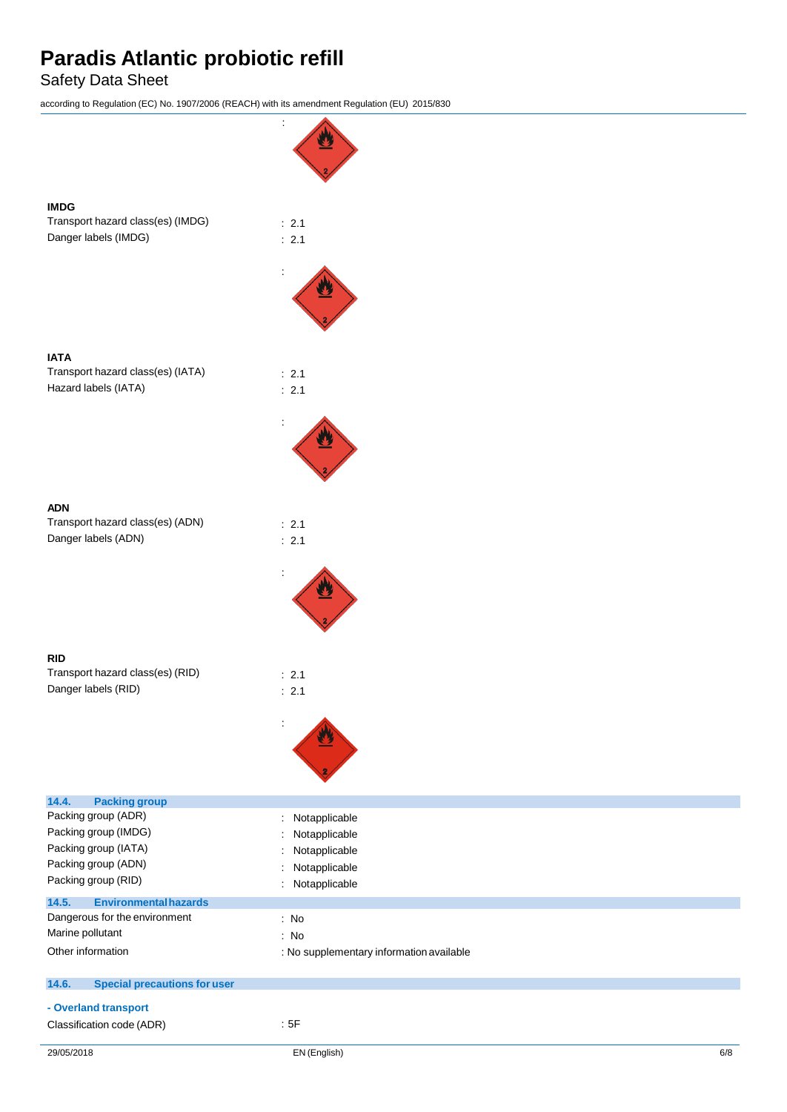Safety Data Sheet

according to Regulation (EC) No. 1907/2006 (REACH) with its amendment Regulation (EU) 2015/830

|                                                                          | $\ddot{\phantom{a}}$                             |
|--------------------------------------------------------------------------|--------------------------------------------------|
| <b>IMDG</b><br>Transport hazard class(es) (IMDG)<br>Danger labels (IMDG) | : 2.1<br>$\therefore$ 2.1                        |
|                                                                          | $\ddot{\phantom{a}}$                             |
| <b>IATA</b><br>Transport hazard class(es) (IATA)<br>Hazard labels (IATA) | : 2.1<br>$\therefore$ 2.1                        |
|                                                                          |                                                  |
| <b>ADN</b><br>Transport hazard class(es) (ADN)<br>Danger labels (ADN)    | : 2.1<br>$\therefore$ 2.1                        |
|                                                                          |                                                  |
| <b>RID</b><br>Transport hazard class(es) (RID)<br>Danger labels (RID)    | : 2.1<br>: 2.1                                   |
| <b>Packing group</b><br>14.4.                                            |                                                  |
| Packing group (ADR)                                                      | Notapplicable<br>t.                              |
| Packing group (IMDG)<br>Packing group (IATA)                             | Notapplicable<br>t<br>Notapplicable<br>t         |
| Packing group (ADN)                                                      | Notapplicable<br>İ                               |
| Packing group (RID)                                                      | Notapplicable<br>t.                              |
| 14.5.<br><b>Environmental hazards</b>                                    |                                                  |
| Dangerous for the environment<br>Marine pollutant                        | : No                                             |
| Other information                                                        | : No<br>: No supplementary information available |
| 14.6.<br><b>Special precautions for user</b>                             |                                                  |
|                                                                          |                                                  |
| - Overland transport<br>Classification code (ADR)                        | :5F                                              |
|                                                                          |                                                  |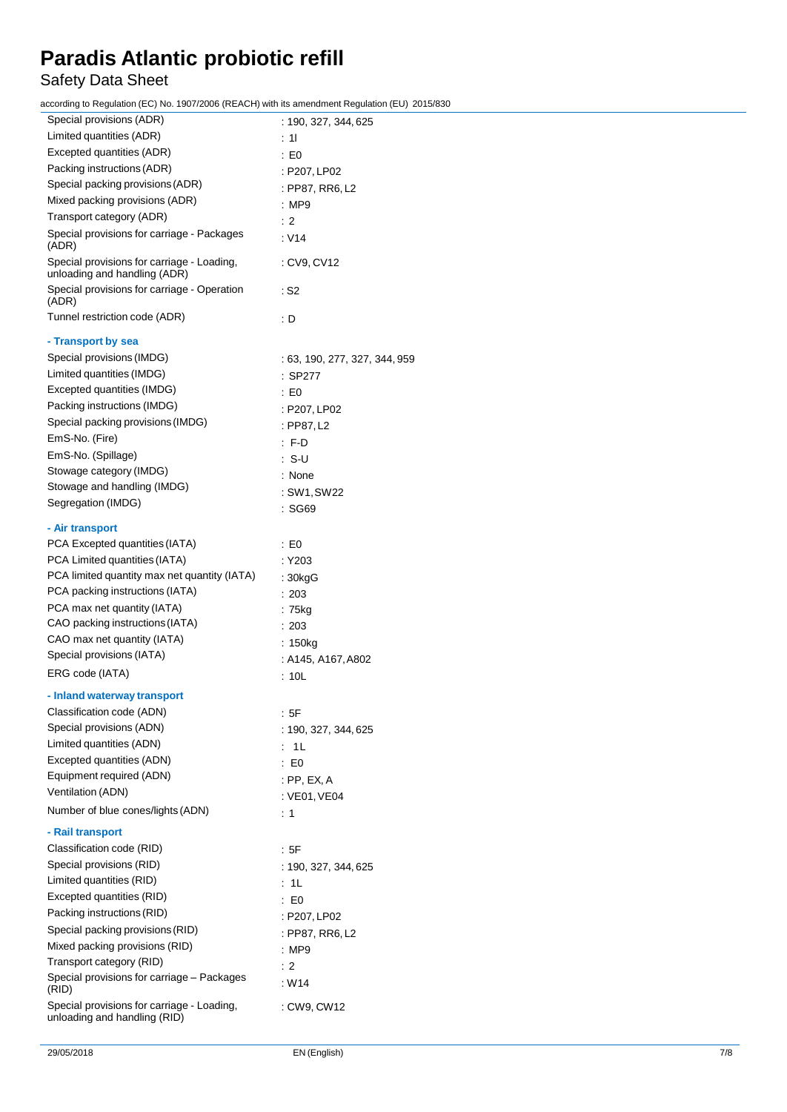## Safety Data Sheet

according to Regulation (EC) No. 1907/2006 (REACH) with its amendment Regulation (EU) 2015/830

| Special provisions (ADR)                                                   | : 190, 327, 344, 625          |
|----------------------------------------------------------------------------|-------------------------------|
| Limited quantities (ADR)                                                   | : 11                          |
| Excepted quantities (ADR)                                                  | : E0                          |
| Packing instructions (ADR)                                                 | : P207, LP02                  |
| Special packing provisions (ADR)                                           | : PP87, RR6, L2               |
| Mixed packing provisions (ADR)                                             | : MP9                         |
| Transport category (ADR)                                                   | : 2                           |
| Special provisions for carriage - Packages<br>(ADR)                        | : V14                         |
| Special provisions for carriage - Loading,<br>unloading and handling (ADR) | : CV9, CV12                   |
| Special provisions for carriage - Operation<br>(ADR)                       | : S2                          |
| Tunnel restriction code (ADR)                                              | : D                           |
| - Transport by sea                                                         |                               |
| Special provisions (IMDG)                                                  | : 63, 190, 277, 327, 344, 959 |
| Limited quantities (IMDG)                                                  | $:$ SP277                     |
| Excepted quantities (IMDG)                                                 | $\pm 50$                      |
| Packing instructions (IMDG)                                                |                               |
| Special packing provisions (IMDG)                                          | : P207, LP02                  |
| EmS-No. (Fire)                                                             | : PP87, L2                    |
|                                                                            | : F-D                         |
| EmS-No. (Spillage)                                                         | : S-U                         |
| Stowage category (IMDG)                                                    | : None                        |
| Stowage and handling (IMDG)                                                | : SW1,SW22                    |
| Segregation (IMDG)                                                         | :SG69                         |
| - Air transport                                                            |                               |
| PCA Excepted quantities (IATA)                                             | : E0                          |
| PCA Limited quantities (IATA)                                              | : Y203                        |
| PCA limited quantity max net quantity (IATA)                               | :30kgG                        |
| PCA packing instructions (IATA)                                            | :203                          |
| PCA max net quantity (IATA)                                                |                               |
| CAO packing instructions (IATA)                                            | : 75kg                        |
| CAO max net quantity (IATA)                                                | :203                          |
|                                                                            | : 150kg                       |
| Special provisions (IATA)                                                  | : A145, A167, A802            |
| ERG code (IATA)                                                            | :10L                          |
| - Inland waterway transport                                                |                               |
| Classification code (ADN)                                                  | : 5F                          |
| Special provisions (ADN)                                                   | : 190, 327, 344, 625          |
| Limited quantities (ADN)                                                   | 1 L<br>t                      |
| Excepted quantities (ADN)                                                  | $\mathsf{E}$ E0               |
| Equipment required (ADN)                                                   | : PP, EX, A                   |
| Ventilation (ADN)                                                          |                               |
| Number of blue cones/lights (ADN)                                          | : VE01, VE04                  |
| - Rail transport                                                           | : 1                           |
| Classification code (RID)                                                  |                               |
|                                                                            | : 5F                          |
| Special provisions (RID)                                                   | : 190, 327, 344, 625          |
| Limited quantities (RID)                                                   | : 1L                          |
| Excepted quantities (RID)                                                  | $\mathsf{E}$ E0               |
| Packing instructions (RID)                                                 | : P207, LP02                  |
| Special packing provisions (RID)                                           | : PP87, RR6, L2               |
| Mixed packing provisions (RID)                                             | : MP9                         |
| Transport category (RID)                                                   | : 2                           |
| Special provisions for carriage - Packages                                 | : W14                         |
| (RID)                                                                      |                               |
| Special provisions for carriage - Loading,<br>unloading and handling (RID) | : CW9, CW12                   |